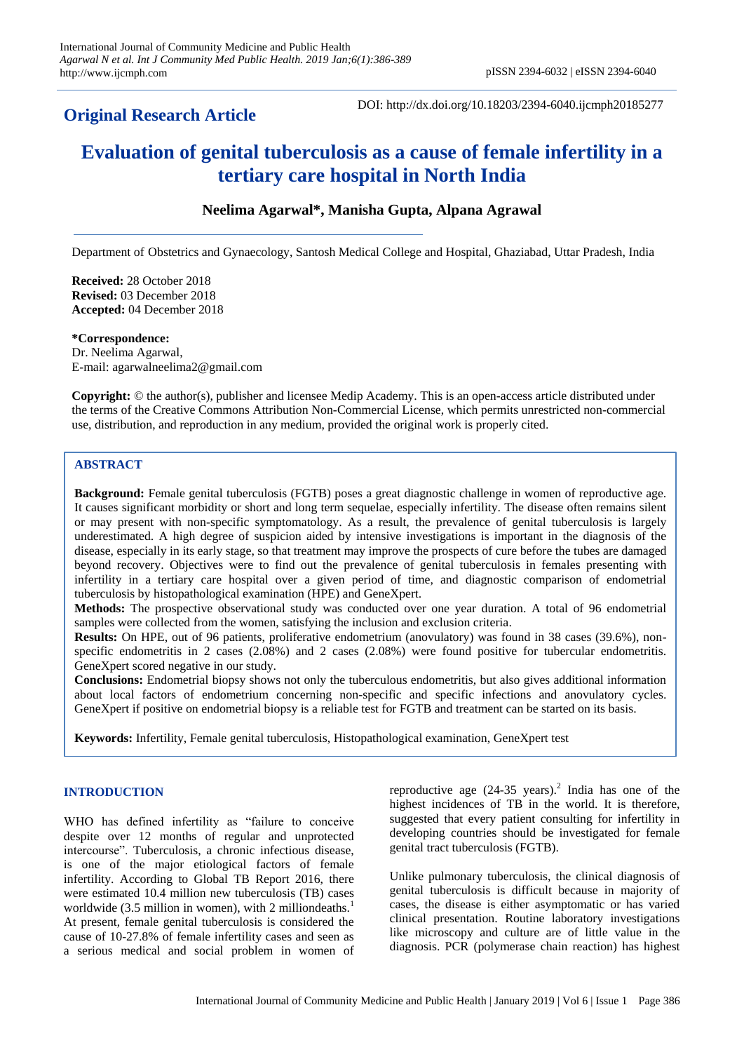## **Original Research Article**

DOI: http://dx.doi.org/10.18203/2394-6040.ijcmph20185277

# **Evaluation of genital tuberculosis as a cause of female infertility in a tertiary care hospital in North India**

## **Neelima Agarwal\*, Manisha Gupta, Alpana Agrawal**

Department of Obstetrics and Gynaecology, Santosh Medical College and Hospital, Ghaziabad, Uttar Pradesh, India

**Received:** 28 October 2018 **Revised:** 03 December 2018 **Accepted:** 04 December 2018

**\*Correspondence:** Dr. Neelima Agarwal, E-mail: agarwalneelima2@gmail.com

**Copyright:** © the author(s), publisher and licensee Medip Academy. This is an open-access article distributed under the terms of the Creative Commons Attribution Non-Commercial License, which permits unrestricted non-commercial use, distribution, and reproduction in any medium, provided the original work is properly cited.

## **ABSTRACT**

**Background:** Female genital tuberculosis (FGTB) poses a great diagnostic challenge in women of reproductive age. It causes significant morbidity or short and long term sequelae, especially infertility. The disease often remains silent or may present with non-specific symptomatology. As a result, the prevalence of genital tuberculosis is largely underestimated. A high degree of suspicion aided by intensive investigations is important in the diagnosis of the disease, especially in its early stage, so that treatment may improve the prospects of cure before the tubes are damaged beyond recovery. Objectives were to find out the prevalence of genital tuberculosis in females presenting with infertility in a tertiary care hospital over a given period of time, and diagnostic comparison of endometrial tuberculosis by histopathological examination (HPE) and GeneXpert.

**Methods:** The prospective observational study was conducted over one year duration. A total of 96 endometrial samples were collected from the women, satisfying the inclusion and exclusion criteria.

**Results:** On HPE, out of 96 patients, proliferative endometrium (anovulatory) was found in 38 cases (39.6%), nonspecific endometritis in 2 cases (2.08%) and 2 cases (2.08%) were found positive for tubercular endometritis. GeneXpert scored negative in our study.

**Conclusions:** Endometrial biopsy shows not only the tuberculous endometritis, but also gives additional information about local factors of endometrium concerning non-specific and specific infections and anovulatory cycles. GeneXpert if positive on endometrial biopsy is a reliable test for FGTB and treatment can be started on its basis.

**Keywords:** Infertility, Female genital tuberculosis, Histopathological examination, GeneXpert test

## **INTRODUCTION**

WHO has defined infertility as "failure to conceive despite over 12 months of regular and unprotected intercourse". Tuberculosis, a chronic infectious disease, is one of the major etiological factors of female infertility. According to Global TB Report 2016, there were estimated 10.4 million new tuberculosis (TB) cases worldwide (3.5 million in women), with 2 milliondeaths. $<sup>1</sup>$ </sup> At present, female genital tuberculosis is considered the cause of 10-27.8% of female infertility cases and seen as a serious medical and social problem in women of

reproductive age  $(24-35 \text{ years})$ .<sup>2</sup> India has one of the highest incidences of TB in the world. It is therefore, suggested that every patient consulting for infertility in developing countries should be investigated for female genital tract tuberculosis (FGTB).

Unlike pulmonary tuberculosis, the clinical diagnosis of genital tuberculosis is difficult because in majority of cases, the disease is either asymptomatic or has varied clinical presentation. Routine laboratory investigations like microscopy and culture are of little value in the diagnosis. PCR (polymerase chain reaction) has highest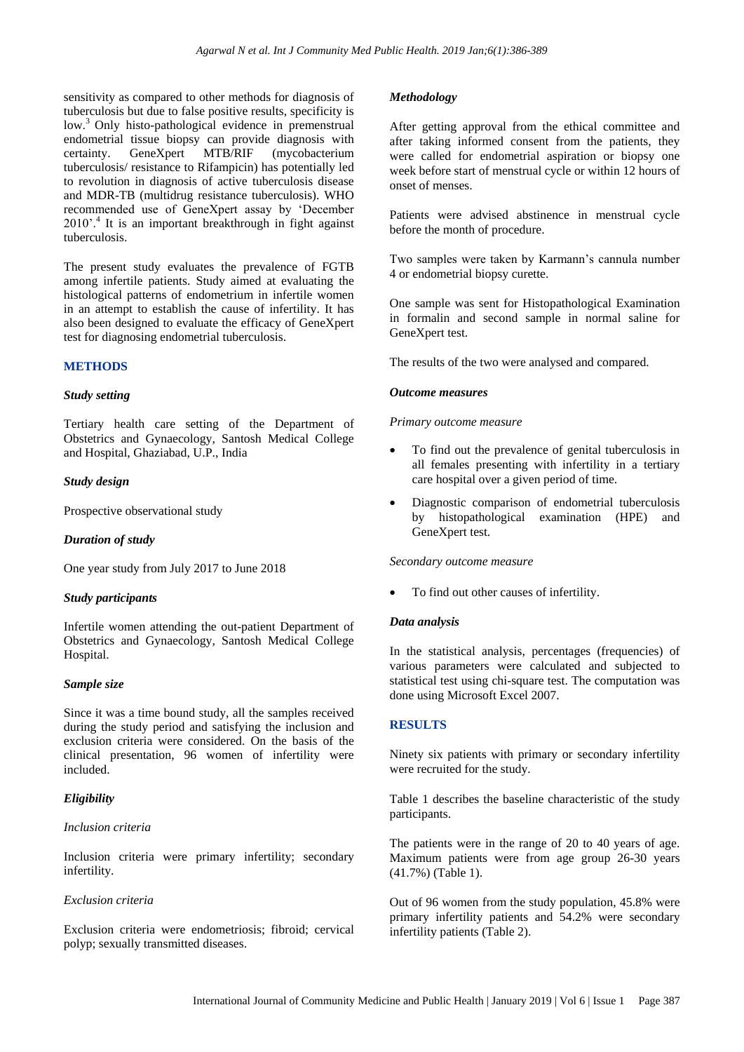sensitivity as compared to other methods for diagnosis of tuberculosis but due to false positive results, specificity is low.<sup>3</sup> Only histo-pathological evidence in premenstrual endometrial tissue biopsy can provide diagnosis with certainty. GeneXpert MTB/RIF (mycobacterium tuberculosis/ resistance to Rifampicin) has potentially led to revolution in diagnosis of active tuberculosis disease and MDR-TB (multidrug resistance tuberculosis). WHO recommended use of GeneXpert assay by "December 2010'.<sup>4</sup> It is an important breakthrough in fight against tuberculosis.

The present study evaluates the prevalence of FGTB among infertile patients. Study aimed at evaluating the histological patterns of endometrium in infertile women in an attempt to establish the cause of infertility. It has also been designed to evaluate the efficacy of GeneXpert test for diagnosing endometrial tuberculosis.

#### **METHODS**

#### *Study setting*

Tertiary health care setting of the Department of Obstetrics and Gynaecology, Santosh Medical College and Hospital, Ghaziabad, U.P., India

#### *Study design*

Prospective observational study

## *Duration of study*

One year study from July 2017 to June 2018

#### *Study participants*

Infertile women attending the out-patient Department of Obstetrics and Gynaecology, Santosh Medical College Hospital.

#### *Sample size*

Since it was a time bound study, all the samples received during the study period and satisfying the inclusion and exclusion criteria were considered. On the basis of the clinical presentation, 96 women of infertility were included.

## *Eligibility*

#### *Inclusion criteria*

Inclusion criteria were primary infertility; secondary infertility.

#### *Exclusion criteria*

Exclusion criteria were endometriosis; fibroid; cervical polyp; sexually transmitted diseases.

### *Methodology*

After getting approval from the ethical committee and after taking informed consent from the patients, they were called for endometrial aspiration or biopsy one week before start of menstrual cycle or within 12 hours of onset of menses.

Patients were advised abstinence in menstrual cycle before the month of procedure.

Two samples were taken by Karmann's cannula number 4 or endometrial biopsy curette.

One sample was sent for Histopathological Examination in formalin and second sample in normal saline for GeneXpert test.

The results of the two were analysed and compared.

#### *Outcome measures*

#### *Primary outcome measure*

- To find out the prevalence of genital tuberculosis in all females presenting with infertility in a tertiary care hospital over a given period of time.
- Diagnostic comparison of endometrial tuberculosis by histopathological examination (HPE) and GeneXpert test.

#### *Secondary outcome measure*

To find out other causes of infertility.

#### *Data analysis*

In the statistical analysis, percentages (frequencies) of various parameters were calculated and subjected to statistical test using chi-square test. The computation was done using Microsoft Excel 2007.

## **RESULTS**

Ninety six patients with primary or secondary infertility were recruited for the study.

Table 1 describes the baseline characteristic of the study participants.

The patients were in the range of 20 to 40 years of age. Maximum patients were from age group 26-30 years (41.7%) (Table 1).

Out of 96 women from the study population, 45.8% were primary infertility patients and 54.2% were secondary infertility patients (Table 2).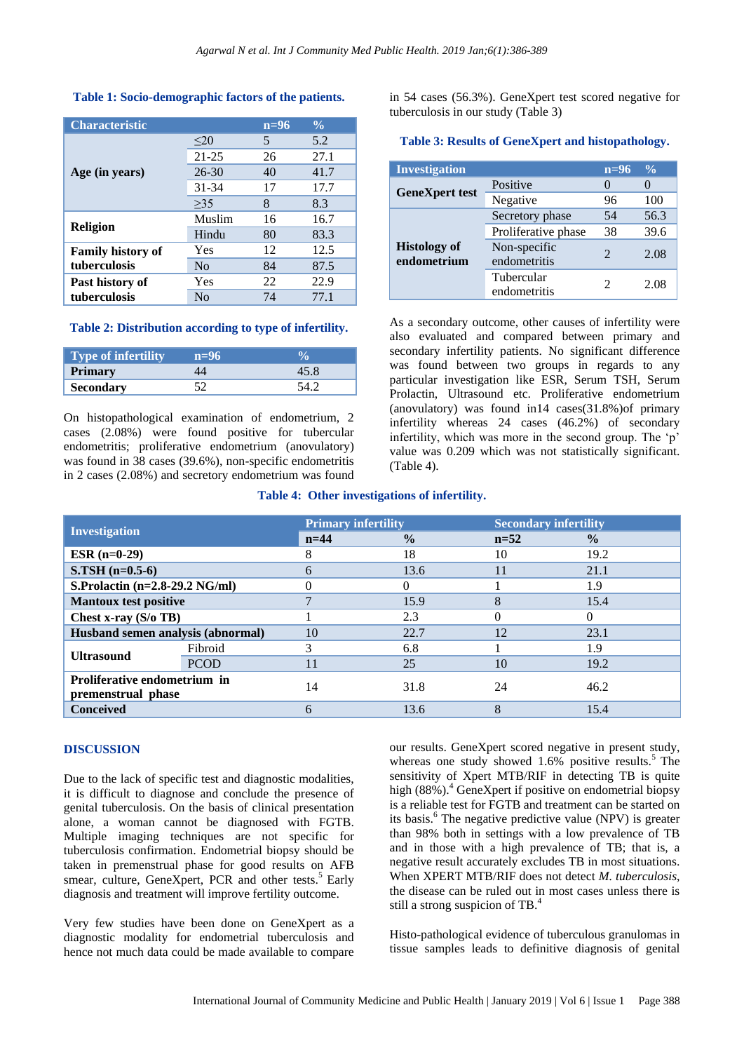## **Table 1: Socio-demographic factors of the patients.**

| <b>Characteristic</b>    |                | $n=96$ | $\frac{0}{0}$ |
|--------------------------|----------------|--------|---------------|
| Age (in years)           | $\leq$ 20      | 5      | 5.2           |
|                          | $21 - 25$      | 26     | 27.1          |
|                          | $26 - 30$      | 40     | 41.7          |
|                          | 31-34          | 17     | 17.7          |
|                          | >35            | 8      | 8.3           |
| <b>Religion</b>          | Muslim         | 16     | 16.7          |
|                          | Hindu          | 80     | 83.3          |
| <b>Family history of</b> | Yes            | 12     | 12.5          |
| tuberculosis             | N <sub>0</sub> | 84     | 87.5          |
| Past history of          | Yes            | 22     | 22.9          |
| tuberculosis             | No             | 74     | 77.1          |

#### **Table 2: Distribution according to type of infertility.**

| Type of infertility | $n=96$ |  |
|---------------------|--------|--|
| Primary             |        |  |
| <b>Secondary</b>    |        |  |

On histopathological examination of endometrium, 2 cases (2.08%) were found positive for tubercular endometritis; proliferative endometrium (anovulatory) was found in 38 cases (39.6%), non-specific endometritis in 2 cases (2.08%) and secretory endometrium was found

in 54 cases (56.3%). GeneXpert test scored negative for tuberculosis in our study (Table 3)

#### **Table 3: Results of GeneXpert and histopathology.**

| <b>Investigation</b>               |                              | $n=96$                | $\frac{0}{0}$ |
|------------------------------------|------------------------------|-----------------------|---------------|
| <b>GeneXpert test</b>              | Positive                     |                       |               |
|                                    | Negative                     | 96                    | 100           |
| <b>Histology of</b><br>endometrium | Secretory phase              | 54                    | 56.3          |
|                                    | Proliferative phase          | 38                    | 39.6          |
|                                    | Non-specific<br>endometritis | $\mathcal{D}_{\cdot}$ | 2.08          |
|                                    | Tubercular<br>endometritis   | 2                     | 2.08          |

As a secondary outcome, other causes of infertility were also evaluated and compared between primary and secondary infertility patients. No significant difference was found between two groups in regards to any particular investigation like ESR, Serum TSH, Serum Prolactin, Ultrasound etc. Proliferative endometrium (anovulatory) was found in14 cases(31.8%)of primary infertility whereas 24 cases (46.2%) of secondary infertility, which was more in the second group. The 'p' value was 0.209 which was not statistically significant. (Table 4).

#### **Table 4: Other investigations of infertility.**

| <b>Investigation</b>                               |             | <b>Primary infertility</b> |               | <b>Secondary infertility</b> |               |
|----------------------------------------------------|-------------|----------------------------|---------------|------------------------------|---------------|
|                                                    |             | $n=44$                     | $\frac{0}{0}$ | $n=52$                       | $\frac{0}{0}$ |
| <b>ESR</b> $(n=0-29)$                              |             |                            | 18            | 10                           | 19.2          |
| $S.TSH(n=0.5-6)$                                   |             | 6                          | 13.6          |                              | 21.1          |
| S. Prolactin $(n=2.8-29.2 \text{ NG/ml})$          |             |                            |               |                              | 1.9           |
| <b>Mantoux test positive</b>                       |             |                            | 15.9          | 8                            | 15.4          |
| Chest x-ray (S/o TB)                               |             |                            | 2.3           | 0                            | 0             |
| Husband semen analysis (abnormal)                  |             | 10                         | 22.7          | 12                           | 23.1          |
| <b>Ultrasound</b>                                  | Fibroid     | 3                          | 6.8           |                              | 1.9           |
|                                                    | <b>PCOD</b> | 11                         | 25            | 10                           | 19.2          |
| Proliferative endometrium in<br>premenstrual phase |             | 14                         | 31.8          | 24                           | 46.2          |
| <b>Conceived</b>                                   |             | 6                          | 13.6          | 8                            | 15.4          |

## **DISCUSSION**

Due to the lack of specific test and diagnostic modalities, it is difficult to diagnose and conclude the presence of genital tuberculosis. On the basis of clinical presentation alone, a woman cannot be diagnosed with FGTB. Multiple imaging techniques are not specific for tuberculosis confirmation. Endometrial biopsy should be taken in premenstrual phase for good results on AFB smear, culture, GeneXpert, PCR and other tests.<sup>5</sup> Early diagnosis and treatment will improve fertility outcome.

Very few studies have been done on GeneXpert as a diagnostic modality for endometrial tuberculosis and hence not much data could be made available to compare

our results. GeneXpert scored negative in present study, whereas one study showed 1.6% positive results.<sup>5</sup> The sensitivity of Xpert MTB/RIF in detecting TB is quite high  $(88\%)$ .<sup>4</sup> GeneXpert if positive on endometrial biopsy is a reliable test for FGTB and treatment can be started on its basis.<sup>6</sup> The negative predictive value (NPV) is greater than 98% both in settings with a low prevalence of TB and in those with a high prevalence of TB; that is, a negative result accurately excludes TB in most situations. When XPERT MTB/RIF does not detect *M. tuberculosis*, the disease can be ruled out in most cases unless there is still a strong suspicion of TB.<sup>4</sup>

Histo-pathological evidence of tuberculous granulomas in tissue samples leads to definitive diagnosis of genital